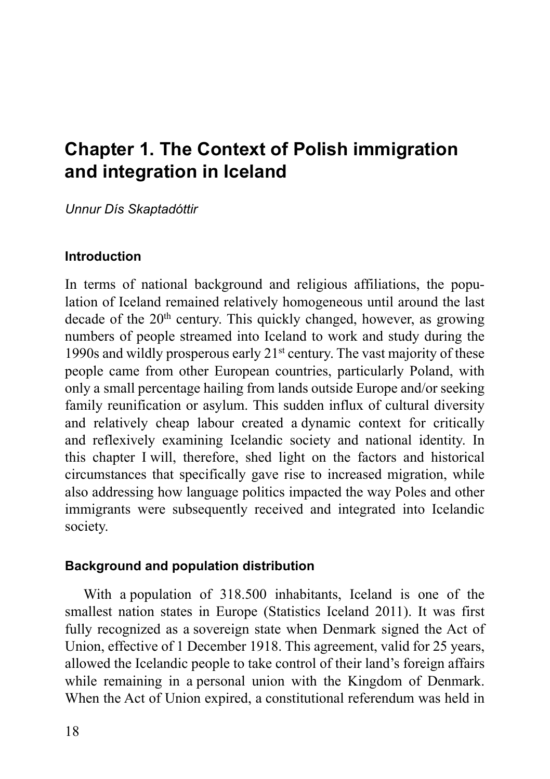# **Chapter 1. The Context of Polish immigration and integration in Iceland**

*Unnur Dís Skaptadóttir*

## **Introduction**

In terms of national background and religious affiliations, the population of Iceland remained relatively homogeneous until around the last decade of the  $20<sup>th</sup>$  century. This quickly changed, however, as growing numbers of people streamed into Iceland to work and study during the 1990s and wildly prosperous early 21st century. The vast majority of these people came from other European countries, particularly Poland, with only a small percentage hailing from lands outside Europe and/or seeking family reunification or asylum. This sudden influx of cultural diversity and relatively cheap labour created a dynamic context for critically and reflexively examining Icelandic society and national identity. In this chapter I will, therefore, shed light on the factors and historical circumstances that specifically gave rise to increased migration, while also addressing how language politics impacted the way Poles and other immigrants were subsequently received and integrated into Icelandic society.

## **Background and population distribution**

With a population of 318.500 inhabitants, Iceland is one of the smallest nation states in Europe (Statistics Iceland 2011). It was first fully recognized as a sovereign state when Denmark signed the Act of Union, effective of 1 December 1918. This agreement, valid for 25 years, allowed the Icelandic people to take control of their land's foreign affairs while remaining in a personal union with the Kingdom of Denmark. When the Act of Union expired, a constitutional referendum was held in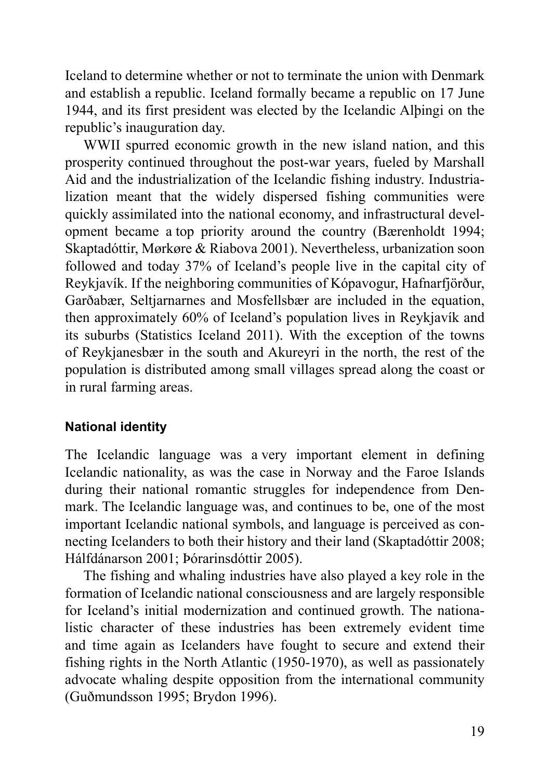Iceland to determine whether or not to terminate the union with Denmark and establish a republic. Iceland formally became a republic on 17 June 1944, and its first president was elected by the Icelandic Alþingi on the republic's inauguration day.

WWII spurred economic growth in the new island nation, and this prosperity continued throughout the post-war years, fueled by Marshall Aid and the industrialization of the Icelandic fishing industry. Industrialization meant that the widely dispersed fishing communities were quickly assimilated into the national economy, and infrastructural development became a top priority around the country (Bærenholdt 1994; Skaptadóttir, Mørkøre & Riabova 2001). Nevertheless, urbanization soon followed and today 37% of Iceland's people live in the capital city of Reykjavík. If the neighboring communities of Kópavogur, Hafnarfjörður, Garðabær, Seltjarnarnes and Mosfellsbær are included in the equation, then approximately 60% of Iceland's population lives in Reykjavík and its suburbs (Statistics Iceland 2011). With the exception of the towns of Reykjanesbær in the south and Akureyri in the north, the rest of the population is distributed among small villages spread along the coast or in rural farming areas.

## **National identity**

The Icelandic language was a very important element in defining Icelandic nationality, as was the case in Norway and the Faroe Islands during their national romantic struggles for independence from Denmark. The Icelandic language was, and continues to be, one of the most important Icelandic national symbols, and language is perceived as connecting Icelanders to both their history and their land (Skaptadóttir 2008; Hálfdánarson 2001; Þórarinsdóttir 2005).

The fishing and whaling industries have also played a key role in the formation of Icelandic national consciousness and are largely responsible for Iceland's initial modernization and continued growth. The nationalistic character of these industries has been extremely evident time and time again as Icelanders have fought to secure and extend their fishing rights in the North Atlantic (1950-1970), as well as passionately advocate whaling despite opposition from the international community (Guðmundsson 1995; Brydon 1996).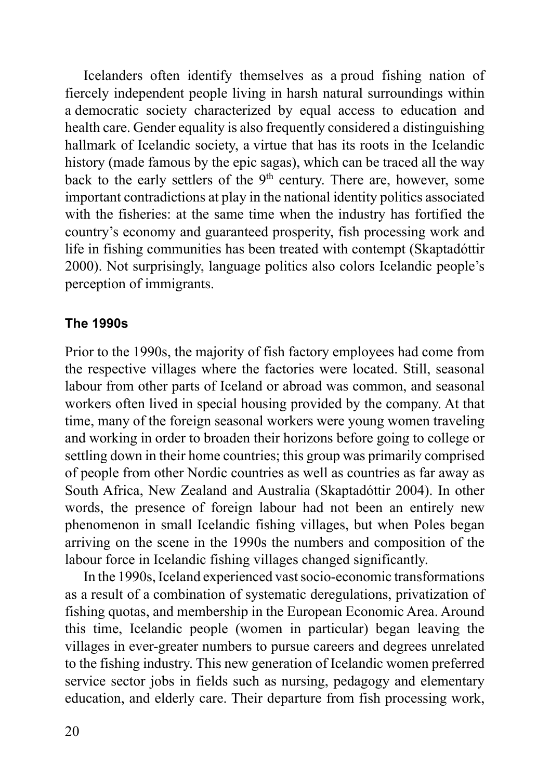Icelanders often identify themselves as a proud fishing nation of fiercely independent people living in harsh natural surroundings within a democratic society characterized by equal access to education and health care. Gender equality is also frequently considered a distinguishing hallmark of Icelandic society, a virtue that has its roots in the Icelandic history (made famous by the epic sagas), which can be traced all the way back to the early settlers of the  $9<sup>th</sup>$  century. There are, however, some important contradictions at play in the national identity politics associated with the fisheries: at the same time when the industry has fortified the country's economy and guaranteed prosperity, fish processing work and life in fishing communities has been treated with contempt (Skaptadóttir 2000). Not surprisingly, language politics also colors Icelandic people's perception of immigrants.

## **The 1990s**

Prior to the 1990s, the majority of fish factory employees had come from the respective villages where the factories were located. Still, seasonal labour from other parts of Iceland or abroad was common, and seasonal workers often lived in special housing provided by the company. At that time, many of the foreign seasonal workers were young women traveling and working in order to broaden their horizons before going to college or settling down in their home countries; this group was primarily comprised of people from other Nordic countries as well as countries as far away as South Africa, New Zealand and Australia (Skaptadóttir 2004). In other words, the presence of foreign labour had not been an entirely new phenomenon in small Icelandic fishing villages, but when Poles began arriving on the scene in the 1990s the numbers and composition of the labour force in Icelandic fishing villages changed significantly.

In the 1990s, Iceland experienced vast socio-economic transformations as a result of a combination of systematic deregulations, privatization of fishing quotas, and membership in the European Economic Area. Around this time, Icelandic people (women in particular) began leaving the villages in ever-greater numbers to pursue careers and degrees unrelated to the fishing industry. This new generation of Icelandic women preferred service sector jobs in fields such as nursing, pedagogy and elementary education, and elderly care. Their departure from fish processing work,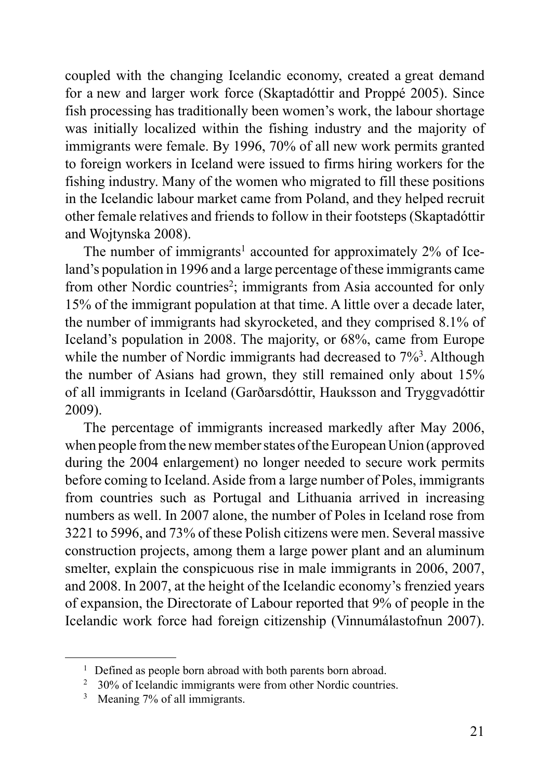coupled with the changing Icelandic economy, created a great demand for a new and larger work force (Skaptadóttir and Proppé 2005). Since fish processing has traditionally been women's work, the labour shortage was initially localized within the fishing industry and the majority of immigrants were female. By 1996, 70% of all new work permits granted to foreign workers in Iceland were issued to firms hiring workers for the fishing industry. Many of the women who migrated to fill these positions in the Icelandic labour market came from Poland, and they helped recruit other female relatives and friends to follow in their footsteps (Skaptadóttir and Wojtynska 2008).

The number of immigrants<sup>1</sup> accounted for approximately  $2\%$  of Iceland's population in 1996 and a large percentage of these immigrants came from other Nordic countries<sup>2</sup>; immigrants from Asia accounted for only 15% of the immigrant population at that time. A little over a decade later, the number of immigrants had skyrocketed, and they comprised 8.1% of Iceland's population in 2008. The majority, or 68%, came from Europe while the number of Nordic immigrants had decreased to  $7\frac{63}{3}$ . Although the number of Asians had grown, they still remained only about 15% of all immigrants in Iceland (Garðarsdóttir, Hauksson and Tryggvadóttir 2009).

The percentage of immigrants increased markedly after May 2006, when people from the new member states of the European Union (approved during the 2004 enlargement) no longer needed to secure work permits before coming to Iceland. Aside from a large number of Poles, immigrants from countries such as Portugal and Lithuania arrived in increasing numbers as well. In 2007 alone, the number of Poles in Iceland rose from 3221 to 5996, and 73% of these Polish citizens were men. Several massive construction projects, among them a large power plant and an aluminum smelter, explain the conspicuous rise in male immigrants in 2006, 2007, and 2008. In 2007, at the height of the Icelandic economy's frenzied years of expansion, the Directorate of Labour reported that 9% of people in the Icelandic work force had foreign citizenship (Vinnumálastofnun 2007).

<sup>&</sup>lt;sup>1</sup> Defined as people born abroad with both parents born abroad.

<sup>2 30%</sup> of Icelandic immigrants were from other Nordic countries.

<sup>3</sup> Meaning 7% of all immigrants.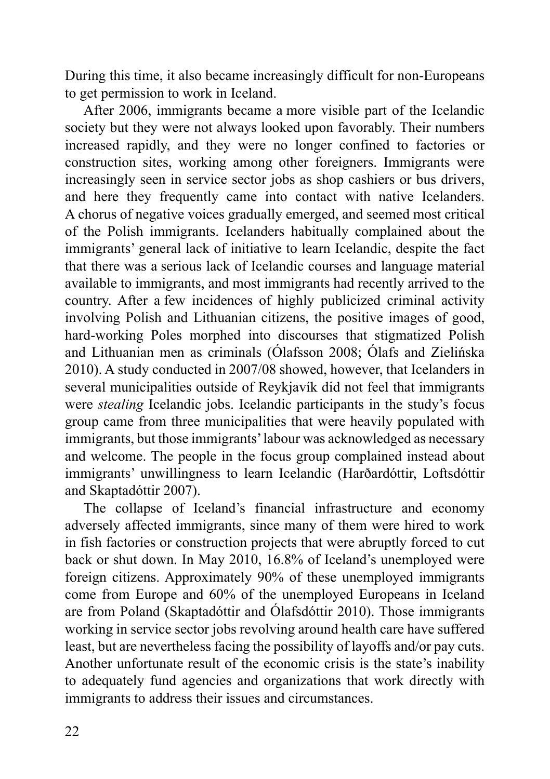During this time, it also became increasingly difficult for non-Europeans to get permission to work in Iceland.

After 2006, immigrants became a more visible part of the Icelandic society but they were not always looked upon favorably. Their numbers increased rapidly, and they were no longer confined to factories or construction sites, working among other foreigners. Immigrants were increasingly seen in service sector jobs as shop cashiers or bus drivers, and here they frequently came into contact with native Icelanders. A chorus of negative voices gradually emerged, and seemed most critical of the Polish immigrants. Icelanders habitually complained about the immigrants' general lack of initiative to learn Icelandic, despite the fact that there was a serious lack of Icelandic courses and language material available to immigrants, and most immigrants had recently arrived to the country. After a few incidences of highly publicized criminal activity involving Polish and Lithuanian citizens, the positive images of good, hard-working Poles morphed into discourses that stigmatized Polish and Lithuanian men as criminals (Ólafsson 2008; Ólafs and Zielińska 2010). A study conducted in 2007/08 showed, however, that Icelanders in several municipalities outside of Reykjavík did not feel that immigrants were *stealing* Icelandic jobs. Icelandic participants in the study's focus group came from three municipalities that were heavily populated with immigrants, but those immigrants' labour was acknowledged as necessary and welcome. The people in the focus group complained instead about immigrants' unwillingness to learn Icelandic (Harðardóttir, Loftsdóttir and Skaptadóttir 2007).

The collapse of Iceland's financial infrastructure and economy adversely affected immigrants, since many of them were hired to work in fish factories or construction projects that were abruptly forced to cut back or shut down. In May 2010, 16.8% of Iceland's unemployed were foreign citizens. Approximately 90% of these unemployed immigrants come from Europe and 60% of the unemployed Europeans in Iceland are from Poland (Skaptadóttir and Ólafsdóttir 2010). Those immigrants working in service sector jobs revolving around health care have suffered least, but are nevertheless facing the possibility of layoffs and/or pay cuts. Another unfortunate result of the economic crisis is the state's inability to adequately fund agencies and organizations that work directly with immigrants to address their issues and circumstances.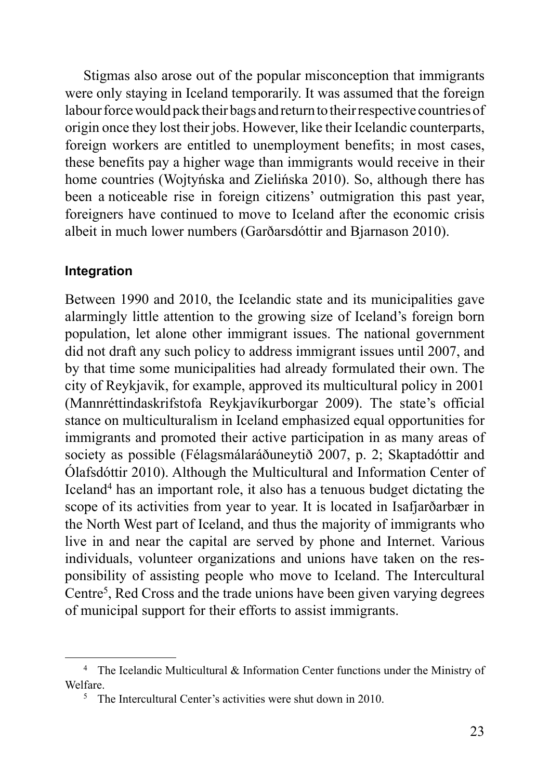Stigmas also arose out of the popular misconception that immigrants were only staying in Iceland temporarily. It was assumed that the foreign labour force would pack their bags and return to their respective countries of origin once they lost their jobs. However, like their Icelandic counterparts, foreign workers are entitled to unemployment benefits; in most cases, these benefits pay a higher wage than immigrants would receive in their home countries (Wojtyńska and Zielińska 2010). So, although there has been a noticeable rise in foreign citizens' outmigration this past year, foreigners have continued to move to Iceland after the economic crisis albeit in much lower numbers (Garðarsdóttir and Bjarnason 2010).

#### **Integration**

Between 1990 and 2010, the Icelandic state and its municipalities gave alarmingly little attention to the growing size of Iceland's foreign born population, let alone other immigrant issues. The national government did not draft any such policy to address immigrant issues until 2007, and by that time some municipalities had already formulated their own. The city of Reykjavik, for example, approved its multicultural policy in 2001 (Mannréttindaskrifstofa Reykjavíkurborgar 2009). The state's official stance on multiculturalism in Iceland emphasized equal opportunities for immigrants and promoted their active participation in as many areas of society as possible (Félagsmálaráðuneytið 2007, p. 2; Skaptadóttir and Ólafsdóttir 2010). Although the Multicultural and Information Center of Iceland4 has an important role, it also has a tenuous budget dictating the scope of its activities from year to year. It is located in Isafjarðarbær in the North West part of Iceland, and thus the majority of immigrants who live in and near the capital are served by phone and Internet. Various individuals, volunteer organizations and unions have taken on the responsibility of assisting people who move to Iceland. The Intercultural Centre<sup>5</sup>, Red Cross and the trade unions have been given varying degrees of municipal support for their efforts to assist immigrants.

<sup>4</sup> The Icelandic Multicultural & Information Center functions under the Ministry of Welfare.

<sup>5</sup> The Intercultural Center's activities were shut down in 2010.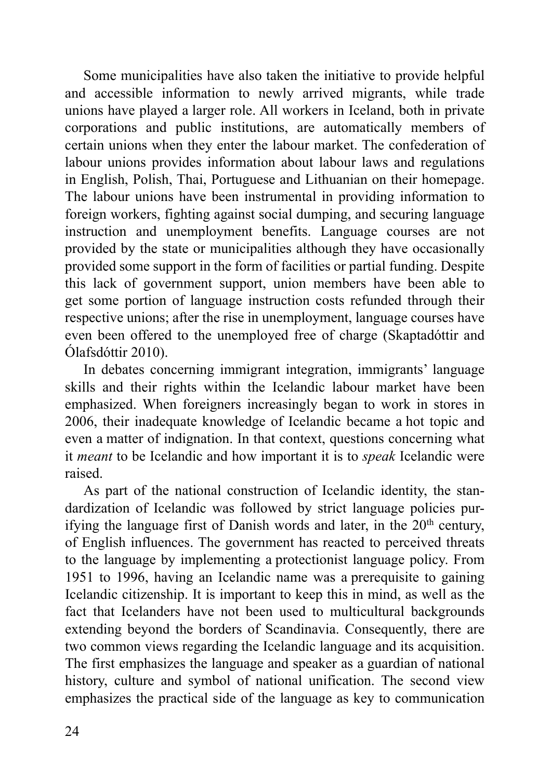Some municipalities have also taken the initiative to provide helpful and accessible information to newly arrived migrants, while trade unions have played a larger role. All workers in Iceland, both in private corporations and public institutions, are automatically members of certain unions when they enter the labour market. The confederation of labour unions provides information about labour laws and regulations in English, Polish, Thai, Portuguese and Lithuanian on their homepage. The labour unions have been instrumental in providing information to foreign workers, fighting against social dumping, and securing language instruction and unemployment benefits. Language courses are not provided by the state or municipalities although they have occasionally provided some support in the form of facilities or partial funding. Despite this lack of government support, union members have been able to get some portion of language instruction costs refunded through their respective unions; after the rise in unemployment, language courses have even been offered to the unemployed free of charge (Skaptadóttir and Ólafsdóttir 2010).

In debates concerning immigrant integration, immigrants' language skills and their rights within the Icelandic labour market have been emphasized. When foreigners increasingly began to work in stores in 2006, their inadequate knowledge of Icelandic became a hot topic and even a matter of indignation. In that context, questions concerning what it *meant* to be Icelandic and how important it is to *speak* Icelandic were raised.

As part of the national construction of Icelandic identity, the standardization of Icelandic was followed by strict language policies purifying the language first of Danish words and later, in the 20<sup>th</sup> century, of English influences. The government has reacted to perceived threats to the language by implementing a protectionist language policy. From 1951 to 1996, having an Icelandic name was a prerequisite to gaining Icelandic citizenship. It is important to keep this in mind, as well as the fact that Icelanders have not been used to multicultural backgrounds extending beyond the borders of Scandinavia. Consequently, there are two common views regarding the Icelandic language and its acquisition. The first emphasizes the language and speaker as a guardian of national history, culture and symbol of national unification. The second view emphasizes the practical side of the language as key to communication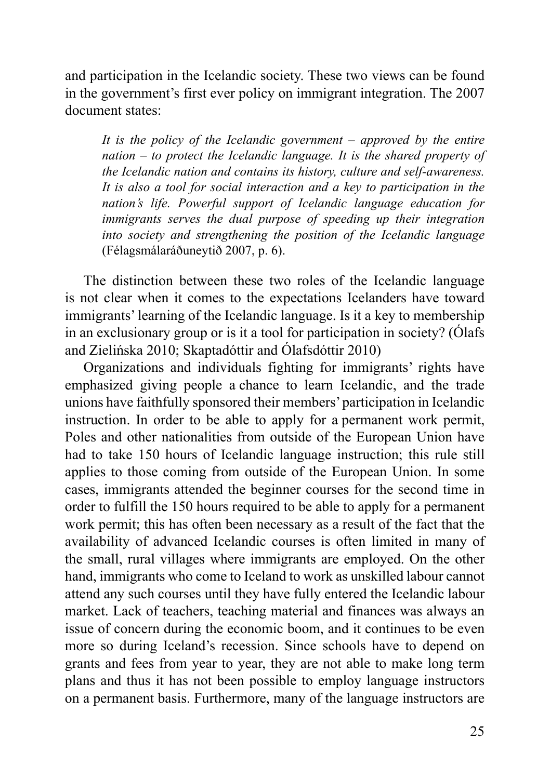and participation in the Icelandic society. These two views can be found in the government's first ever policy on immigrant integration. The 2007 document states:

*It is the policy of the Icelandic government – approved by the entire nation – to protect the Icelandic language. It is the shared property of the Icelandic nation and contains its history, culture and self-awareness. It is also a tool for social interaction and a key to participation in the nation's life. Powerful support of Icelandic language education for immigrants serves the dual purpose of speeding up their integration into society and strengthening the position of the Icelandic language*  (Félagsmálaráðuneytið 2007, p. 6).

The distinction between these two roles of the Icelandic language is not clear when it comes to the expectations Icelanders have toward immigrants' learning of the Icelandic language. Is it a key to membership in an exclusionary group or is it a tool for participation in society? (Ólafs and Zielińska 2010; Skaptadóttir and Ólafsdóttir 2010)

Organizations and individuals fighting for immigrants' rights have emphasized giving people a chance to learn Icelandic, and the trade unions have faithfully sponsored their members' participation in Icelandic instruction. In order to be able to apply for a permanent work permit, Poles and other nationalities from outside of the European Union have had to take 150 hours of Icelandic language instruction; this rule still applies to those coming from outside of the European Union. In some cases, immigrants attended the beginner courses for the second time in order to fulfill the 150 hours required to be able to apply for a permanent work permit; this has often been necessary as a result of the fact that the availability of advanced Icelandic courses is often limited in many of the small, rural villages where immigrants are employed. On the other hand, immigrants who come to Iceland to work as unskilled labour cannot attend any such courses until they have fully entered the Icelandic labour market. Lack of teachers, teaching material and finances was always an issue of concern during the economic boom, and it continues to be even more so during Iceland's recession. Since schools have to depend on grants and fees from year to year, they are not able to make long term plans and thus it has not been possible to employ language instructors on a permanent basis. Furthermore, many of the language instructors are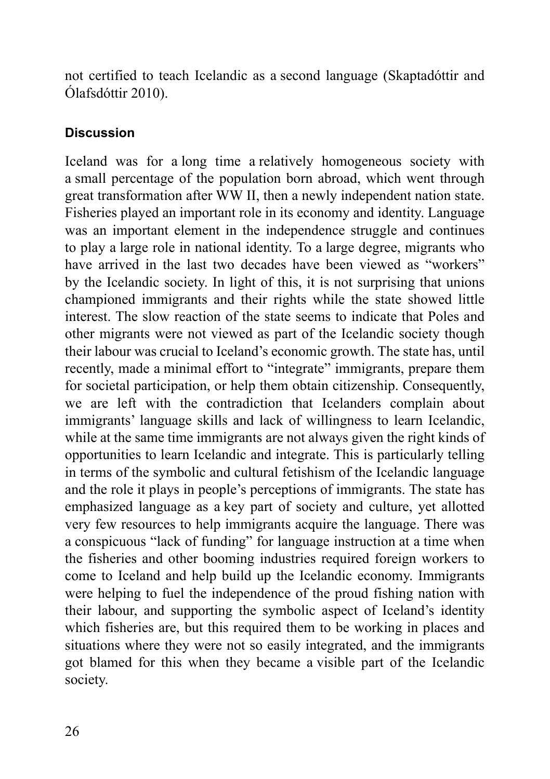not certified to teach Icelandic as a second language (Skaptadóttir and Ólafsdóttir 2010).

## **Discussion**

Iceland was for a long time a relatively homogeneous society with a small percentage of the population born abroad, which went through great transformation after WW II, then a newly independent nation state. Fisheries played an important role in its economy and identity. Language was an important element in the independence struggle and continues to play a large role in national identity. To a large degree, migrants who have arrived in the last two decades have been viewed as "workers" by the Icelandic society. In light of this, it is not surprising that unions championed immigrants and their rights while the state showed little interest. The slow reaction of the state seems to indicate that Poles and other migrants were not viewed as part of the Icelandic society though their labour was crucial to Iceland's economic growth. The state has, until recently, made a minimal effort to "integrate" immigrants, prepare them for societal participation, or help them obtain citizenship. Consequently, we are left with the contradiction that Icelanders complain about immigrants' language skills and lack of willingness to learn Icelandic, while at the same time immigrants are not always given the right kinds of opportunities to learn Icelandic and integrate. This is particularly telling in terms of the symbolic and cultural fetishism of the Icelandic language and the role it plays in people's perceptions of immigrants. The state has emphasized language as a key part of society and culture, yet allotted very few resources to help immigrants acquire the language. There was a conspicuous "lack of funding" for language instruction at a time when the fisheries and other booming industries required foreign workers to come to Iceland and help build up the Icelandic economy. Immigrants were helping to fuel the independence of the proud fishing nation with their labour, and supporting the symbolic aspect of Iceland's identity which fisheries are, but this required them to be working in places and situations where they were not so easily integrated, and the immigrants got blamed for this when they became a visible part of the Icelandic society.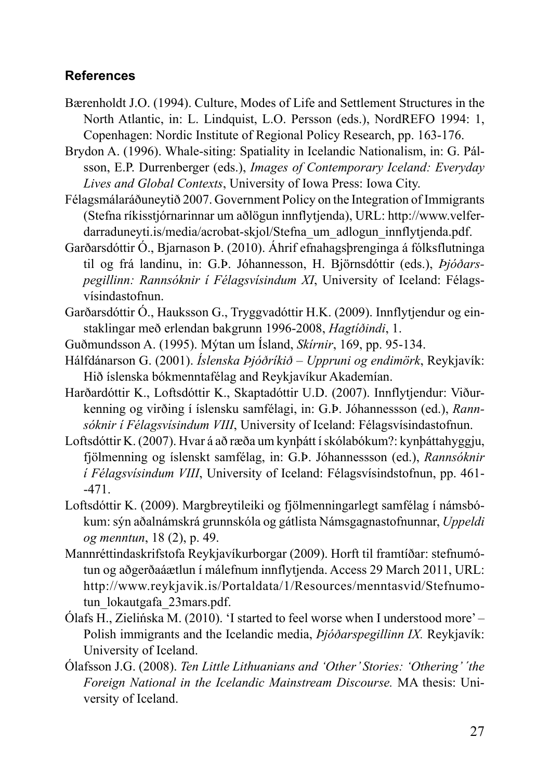#### **References**

- Bærenholdt J.O. (1994). Culture, Modes of Life and Settlement Structures in the North Atlantic, in: L. Lindquist, L.O. Persson (eds.), NordREFO 1994: 1, Copenhagen: Nordic Institute of Regional Policy Research, pp. 163-176.
- Brydon A. (1996). Whale-siting: Spatiality in Icelandic Nationalism, in: G. Pálsson, E.P. Durrenberger (eds.), *Images of Contemporary Iceland: Everyday Lives and Global Contexts*, University of Iowa Press: Iowa City.
- Félagsmálaráðuneytið 2007. Government Policy on the Integration of Immigrants (Stefna ríkisstjórnarinnar um aðlögun innflytjenda), URL: http://www.velferdarraduneyti.is/media/acrobat-skjol/Stefna\_um\_adlogun\_innflytjenda.pdf.
- Garðarsdóttir Ó., Bjarnason Þ. (2010). Áhrif efnahagsþrenginga á fólksflutninga til og frá landinu, in: G.Þ. Jóhannesson, H. Björnsdóttir (eds.), *Þjó ðarspegillinn: Rannsóknir í Félagsvísindum XI*, University of Iceland: Félagsvísindastofnun.
- Garðarsdóttir Ó., Hauksson G., Tryggvadóttir H.K. (2009). Innflytjendur og einstaklingar með erlendan bakgrunn 1996-2008, *Hagtíðindi*, 1.
- Guðmundsson A. (1995). Mýtan um Ísland, *Skírnir*, 169, pp. 95-134.
- Hálfdánarson G. (2001). *Íslenska Þjóðríkið Uppruni og endimörk*, Reykjavík: Hið íslenska bókmenntafélag and Reykjavíkur Akademían.
- Harðardóttir K., Loftsdóttir K., Skaptadóttir U.D. (2007). Innflytjendur: Við urkenning og virðing í íslensku samfélagi, in: G.Þ. Jóhannessson (ed.), *Rann*sóknir í Félagsvísindum VIII, University of Iceland: Félagsvísindastofnun.
- Loftsdóttir K. (2007). Hvar á að ræða um kynþátt í skólabókum?: kynþáttahyggju, fjölmenning og íslenskt samfélag, in: G.Þ. Jóhannessson (ed.), *Rannsóknir í Félagsvísindum VIII*, University of Iceland: Félagsvísindstofnun, pp. 461- -471.
- Loftsdóttir K. (2009). Margbreytileiki og fjölmenningarlegt samfélag í námsbókum: sýn aðalnámskrá grunnskóla og gátlista Námsgagnastofnunnar, *Uppeldi og menntun*, 18 (2), p. 49.
- Mannréttindaskrifstofa Reykjavíkurborgar (2009). Horft til framtíðar: stefnumótun og aðgerðaáætlun í málefnum innflytjenda. Access 29 March 2011, URL: http://www.reykjavik.is/Portaldata/1/Resources/menntasvid/Stefnumotun lokautgafa 23mars.pdf.
- Ólafs H., Zielińska M. (2010). 'I started to feel worse when I understood more' Polish immigrants and the Icelandic media, *Þjóðarspegillinn IX.* Reykjavík: University of Iceland.
- Ólafsson J.G. (2008). *Ten Little Lithuanians and 'Other' Stories: 'Othering' ´the Foreign National in the Icelandic Mainstream Discourse.* MA thesis: University of Iceland.